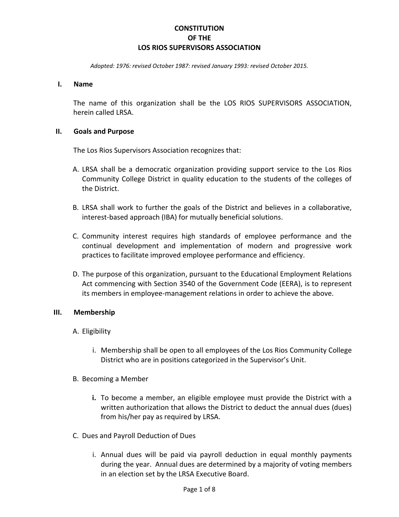### **CONSTITUTION OF THE LOS RIOS SUPERVISORS ASSOCIATION**

*Adopted: 1976: revised October 1987: revised January 1993: revised October 2015.*

#### **I. Name**

The name of this organization shall be the LOS RIOS SUPERVISORS ASSOCIATION, herein called LRSA.

#### **II. Goals and Purpose**

The Los Rios Supervisors Association recognizes that:

- A. LRSA shall be a democratic organization providing support service to the Los Rios Community College District in quality education to the students of the colleges of the District.
- B. LRSA shall work to further the goals of the District and believes in a collaborative, interest-based approach (IBA) for mutually beneficial solutions.
- C. Community interest requires high standards of employee performance and the continual development and implementation of modern and progressive work practices to facilitate improved employee performance and efficiency.
- D. The purpose of this organization, pursuant to the Educational Employment Relations Act commencing with Section 3540 of the Government Code (EERA), is to represent its members in employee-management relations in order to achieve the above.

#### **III. Membership**

- A. Eligibility
	- i. Membership shall be open to all employees of the Los Rios Community College District who are in positions categorized in the Supervisor's Unit.
- B. Becoming a Member
	- **i.** To become a member, an eligible employee must provide the District with a written authorization that allows the District to deduct the annual dues (dues) from his/her pay as required by LRSA.
- C. Dues and Payroll Deduction of Dues
	- i. Annual dues will be paid via payroll deduction in equal monthly payments during the year. Annual dues are determined by a majority of voting members in an election set by the LRSA Executive Board.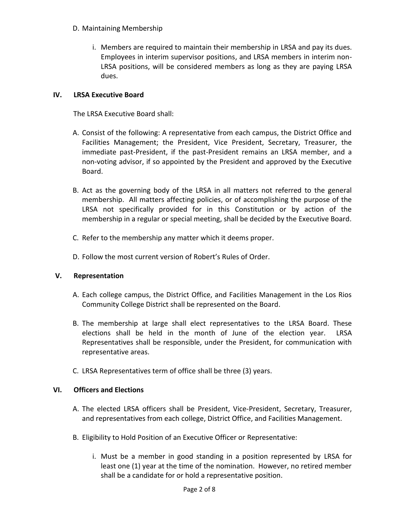- D. Maintaining Membership
	- i. Members are required to maintain their membership in LRSA and pay its dues. Employees in interim supervisor positions, and LRSA members in interim non-LRSA positions, will be considered members as long as they are paying LRSA dues.

# **IV. LRSA Executive Board**

The LRSA Executive Board shall:

- A. Consist of the following: A representative from each campus, the District Office and Facilities Management; the President, Vice President, Secretary, Treasurer, the immediate past-President, if the past-President remains an LRSA member, and a non-voting advisor, if so appointed by the President and approved by the Executive Board.
- B. Act as the governing body of the LRSA in all matters not referred to the general membership. All matters affecting policies, or of accomplishing the purpose of the LRSA not specifically provided for in this Constitution or by action of the membership in a regular or special meeting, shall be decided by the Executive Board.
- C. Refer to the membership any matter which it deems proper.
- D. Follow the most current version of Robert's Rules of Order.

# **V. Representation**

- A. Each college campus, the District Office, and Facilities Management in the Los Rios Community College District shall be represented on the Board.
- B. The membership at large shall elect representatives to the LRSA Board. These elections shall be held in the month of June of the election year. LRSA Representatives shall be responsible, under the President, for communication with representative areas.
- C. LRSA Representatives term of office shall be three (3) years.

# **VI. Officers and Elections**

- A. The elected LRSA officers shall be President, Vice-President, Secretary, Treasurer, and representatives from each college, District Office, and Facilities Management.
- B. Eligibility to Hold Position of an Executive Officer or Representative:
	- i. Must be a member in good standing in a position represented by LRSA for least one (1) year at the time of the nomination. However, no retired member shall be a candidate for or hold a representative position.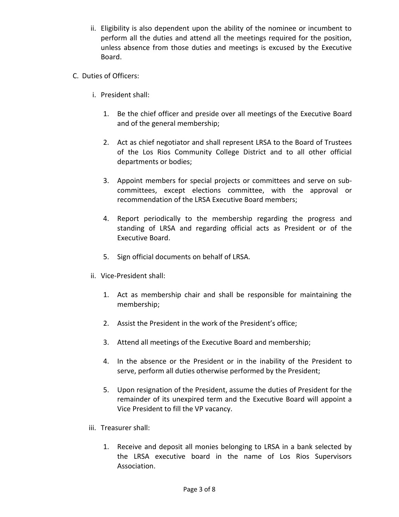- ii. Eligibility is also dependent upon the ability of the nominee or incumbent to perform all the duties and attend all the meetings required for the position, unless absence from those duties and meetings is excused by the Executive Board.
- C. Duties of Officers:
	- i. President shall:
		- 1. Be the chief officer and preside over all meetings of the Executive Board and of the general membership;
		- 2. Act as chief negotiator and shall represent LRSA to the Board of Trustees of the Los Rios Community College District and to all other official departments or bodies;
		- 3. Appoint members for special projects or committees and serve on subcommittees, except elections committee, with the approval or recommendation of the LRSA Executive Board members;
		- 4. Report periodically to the membership regarding the progress and standing of LRSA and regarding official acts as President or of the Executive Board.
		- 5. Sign official documents on behalf of LRSA.
	- ii. Vice-President shall:
		- 1. Act as membership chair and shall be responsible for maintaining the membership;
		- 2. Assist the President in the work of the President's office;
		- 3. Attend all meetings of the Executive Board and membership;
		- 4. In the absence or the President or in the inability of the President to serve, perform all duties otherwise performed by the President;
		- 5. Upon resignation of the President, assume the duties of President for the remainder of its unexpired term and the Executive Board will appoint a Vice President to fill the VP vacancy.
	- iii. Treasurer shall:
		- 1. Receive and deposit all monies belonging to LRSA in a bank selected by the LRSA executive board in the name of Los Rios Supervisors Association.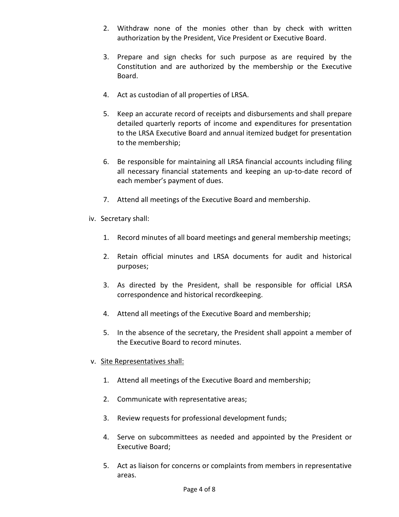- 2. Withdraw none of the monies other than by check with written authorization by the President, Vice President or Executive Board.
- 3. Prepare and sign checks for such purpose as are required by the Constitution and are authorized by the membership or the Executive Board.
- 4. Act as custodian of all properties of LRSA.
- 5. Keep an accurate record of receipts and disbursements and shall prepare detailed quarterly reports of income and expenditures for presentation to the LRSA Executive Board and annual itemized budget for presentation to the membership;
- 6. Be responsible for maintaining all LRSA financial accounts including filing all necessary financial statements and keeping an up-to-date record of each member's payment of dues.
- 7. Attend all meetings of the Executive Board and membership.
- iv. Secretary shall:
	- 1. Record minutes of all board meetings and general membership meetings;
	- 2. Retain official minutes and LRSA documents for audit and historical purposes;
	- 3. As directed by the President, shall be responsible for official LRSA correspondence and historical recordkeeping.
	- 4. Attend all meetings of the Executive Board and membership;
	- 5. In the absence of the secretary, the President shall appoint a member of the Executive Board to record minutes.
- v. Site Representatives shall:
	- 1. Attend all meetings of the Executive Board and membership;
	- 2. Communicate with representative areas;
	- 3. Review requests for professional development funds;
	- 4. Serve on subcommittees as needed and appointed by the President or Executive Board;
	- 5. Act as liaison for concerns or complaints from members in representative areas.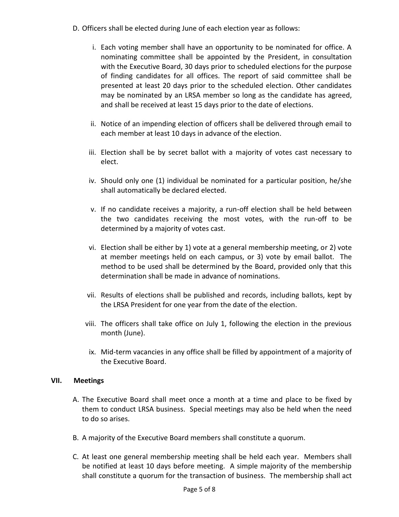- D. Officers shall be elected during June of each election year as follows:
	- i. Each voting member shall have an opportunity to be nominated for office. A nominating committee shall be appointed by the President, in consultation with the Executive Board, 30 days prior to scheduled elections for the purpose of finding candidates for all offices. The report of said committee shall be presented at least 20 days prior to the scheduled election. Other candidates may be nominated by an LRSA member so long as the candidate has agreed, and shall be received at least 15 days prior to the date of elections.
	- ii. Notice of an impending election of officers shall be delivered through email to each member at least 10 days in advance of the election.
	- iii. Election shall be by secret ballot with a majority of votes cast necessary to elect.
	- iv. Should only one (1) individual be nominated for a particular position, he/she shall automatically be declared elected.
	- v. If no candidate receives a majority, a run-off election shall be held between the two candidates receiving the most votes, with the run-off to be determined by a majority of votes cast.
	- vi. Election shall be either by 1) vote at a general membership meeting, or 2) vote at member meetings held on each campus, or 3) vote by email ballot. The method to be used shall be determined by the Board, provided only that this determination shall be made in advance of nominations.
	- vii. Results of elections shall be published and records, including ballots, kept by the LRSA President for one year from the date of the election.
	- viii. The officers shall take office on July 1, following the election in the previous month (June).
	- ix. Mid-term vacancies in any office shall be filled by appointment of a majority of the Executive Board.

#### **VII. Meetings**

- A. The Executive Board shall meet once a month at a time and place to be fixed by them to conduct LRSA business. Special meetings may also be held when the need to do so arises.
- B. A majority of the Executive Board members shall constitute a quorum.
- C. At least one general membership meeting shall be held each year. Members shall be notified at least 10 days before meeting. A simple majority of the membership shall constitute a quorum for the transaction of business. The membership shall act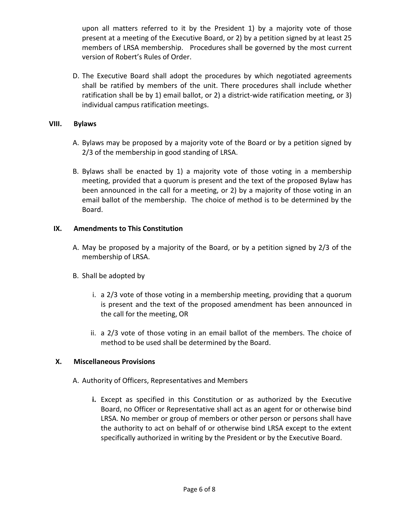upon all matters referred to it by the President 1) by a majority vote of those present at a meeting of the Executive Board, or 2) by a petition signed by at least 25 members of LRSA membership. Procedures shall be governed by the most current version of Robert's Rules of Order.

D. The Executive Board shall adopt the procedures by which negotiated agreements shall be ratified by members of the unit. There procedures shall include whether ratification shall be by 1) email ballot, or 2) a district-wide ratification meeting, or 3) individual campus ratification meetings.

#### **VIII. Bylaws**

- A. Bylaws may be proposed by a majority vote of the Board or by a petition signed by 2/3 of the membership in good standing of LRSA.
- B. Bylaws shall be enacted by 1) a majority vote of those voting in a membership meeting, provided that a quorum is present and the text of the proposed Bylaw has been announced in the call for a meeting, or 2) by a majority of those voting in an email ballot of the membership. The choice of method is to be determined by the Board.

### **IX. Amendments to This Constitution**

- A. May be proposed by a majority of the Board, or by a petition signed by 2/3 of the membership of LRSA.
- B. Shall be adopted by
	- i. a 2/3 vote of those voting in a membership meeting, providing that a quorum is present and the text of the proposed amendment has been announced in the call for the meeting, OR
	- ii. a 2/3 vote of those voting in an email ballot of the members. The choice of method to be used shall be determined by the Board.

# **X. Miscellaneous Provisions**

- A. Authority of Officers, Representatives and Members
	- **i.** Except as specified in this Constitution or as authorized by the Executive Board, no Officer or Representative shall act as an agent for or otherwise bind LRSA. No member or group of members or other person or persons shall have the authority to act on behalf of or otherwise bind LRSA except to the extent specifically authorized in writing by the President or by the Executive Board.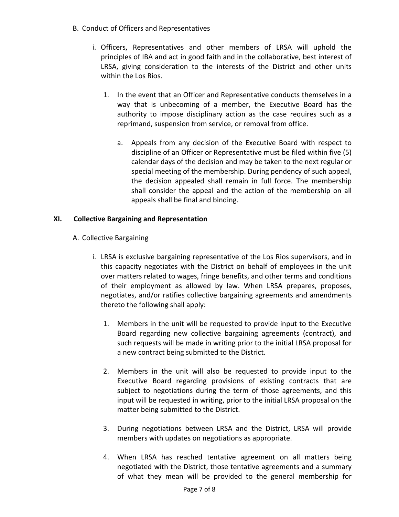- B. Conduct of Officers and Representatives
	- i. Officers, Representatives and other members of LRSA will uphold the principles of IBA and act in good faith and in the collaborative, best interest of LRSA, giving consideration to the interests of the District and other units within the Los Rios.
		- 1. In the event that an Officer and Representative conducts themselves in a way that is unbecoming of a member, the Executive Board has the authority to impose disciplinary action as the case requires such as a reprimand, suspension from service, or removal from office.
			- a. Appeals from any decision of the Executive Board with respect to discipline of an Officer or Representative must be filed within five (5) calendar days of the decision and may be taken to the next regular or special meeting of the membership. During pendency of such appeal, the decision appealed shall remain in full force. The membership shall consider the appeal and the action of the membership on all appeals shall be final and binding.

# **XI. Collective Bargaining and Representation**

- A. Collective Bargaining
	- i. LRSA is exclusive bargaining representative of the Los Rios supervisors, and in this capacity negotiates with the District on behalf of employees in the unit over matters related to wages, fringe benefits, and other terms and conditions of their employment as allowed by law. When LRSA prepares, proposes, negotiates, and/or ratifies collective bargaining agreements and amendments thereto the following shall apply:
		- 1. Members in the unit will be requested to provide input to the Executive Board regarding new collective bargaining agreements (contract), and such requests will be made in writing prior to the initial LRSA proposal for a new contract being submitted to the District.
		- 2. Members in the unit will also be requested to provide input to the Executive Board regarding provisions of existing contracts that are subject to negotiations during the term of those agreements, and this input will be requested in writing, prior to the initial LRSA proposal on the matter being submitted to the District.
		- 3. During negotiations between LRSA and the District, LRSA will provide members with updates on negotiations as appropriate.
		- 4. When LRSA has reached tentative agreement on all matters being negotiated with the District, those tentative agreements and a summary of what they mean will be provided to the general membership for